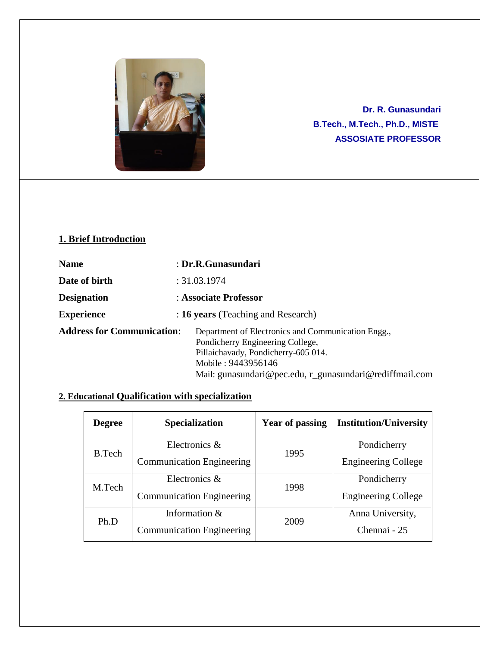

**Dr. R. Gunasundari B.Tech., M.Tech., Ph.D., MISTE ASSOSIATE PROFESSOR**

# **1. Brief Introduction**

| <b>Name</b>                       | : Dr.R.Gunasundari                                                                                                                                                                                             |
|-----------------------------------|----------------------------------------------------------------------------------------------------------------------------------------------------------------------------------------------------------------|
| Date of birth                     | : 31.03.1974                                                                                                                                                                                                   |
| <b>Designation</b>                | : Associate Professor                                                                                                                                                                                          |
| <b>Experience</b>                 | : 16 years (Teaching and Research)                                                                                                                                                                             |
| <b>Address for Communication:</b> | Department of Electronics and Communication Engg.,<br>Pondicherry Engineering College,<br>Pillaichavady, Pondicherry-605 014.<br>Mobile: 9443956146<br>Mail: gunasundari@pec.edu, r_gunasundari@rediffmail.com |

## **2. Educational Qualification with specialization**

| <b>Degree</b> | <b>Specialization</b>            | Year of passing | <b>Institution/University</b> |
|---------------|----------------------------------|-----------------|-------------------------------|
| <b>B.Tech</b> | Electronics &                    | 1995            | Pondicherry                   |
|               | <b>Communication Engineering</b> |                 | <b>Engineering College</b>    |
| M.Tech        | Electronics &<br>1998            |                 | Pondicherry                   |
|               | <b>Communication Engineering</b> |                 | <b>Engineering College</b>    |
| Ph.D          | Information &                    | 2009            | Anna University,              |
|               | <b>Communication Engineering</b> |                 | Chennai - 25                  |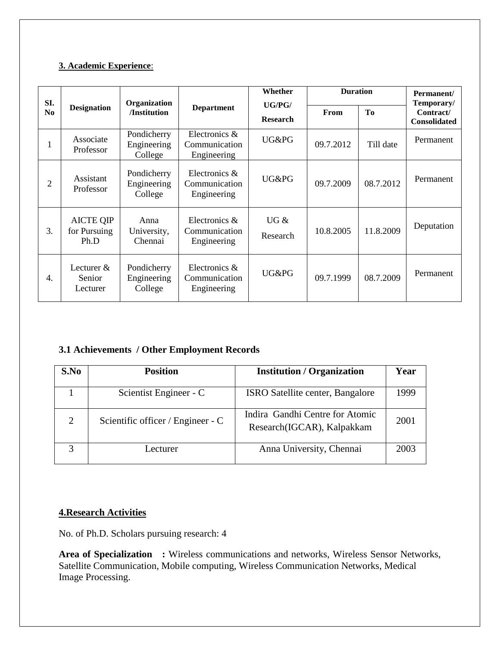### **3. Academic Experience**:

| SI.            |                                          | Organization                          | Whether                                          |                           | <b>Duration</b> |           | Permanent/<br>Temporary/         |
|----------------|------------------------------------------|---------------------------------------|--------------------------------------------------|---------------------------|-----------------|-----------|----------------------------------|
| N <sub>0</sub> | <b>Designation</b>                       | /Institution                          | <b>Department</b>                                | UG/PG/<br><b>Research</b> | From            | To        | Contract/<br><b>Consolidated</b> |
| $\mathbf{I}$   | Associate<br>Professor                   | Pondicherry<br>Engineering<br>College | Electronics &<br>Communication<br>Engineering    | UG&PG                     | 09.7.2012       | Till date | Permanent                        |
| 2              | Assistant<br>Professor                   | Pondicherry<br>Engineering<br>College | Electronics $\&$<br>Communication<br>Engineering | UG&PG                     | 09.7.2009       | 08.7.2012 | Permanent                        |
| 3.             | <b>AICTE QIP</b><br>for Pursuing<br>Ph.D | Anna<br>University,<br>Chennai        | Electronics &<br>Communication<br>Engineering    | UG &<br>Research          | 10.8.2005       | 11.8.2009 | Deputation                       |
| 4.             | Lecturer $&$<br>Senior<br>Lecturer       | Pondicherry<br>Engineering<br>College | Electronics $\&$<br>Communication<br>Engineering | UG&PG                     | 09.7.1999       | 08.7.2009 | Permanent                        |

## **3.1 Achievements / Other Employment Records**

| S.No                        | <b>Position</b>                   | <b>Institution / Organization</b>                             | Year |
|-----------------------------|-----------------------------------|---------------------------------------------------------------|------|
|                             | Scientist Engineer - C            | <b>ISRO</b> Satellite center, Bangalore                       | 1999 |
| $\mathcal{D}_{\mathcal{L}}$ | Scientific officer / Engineer - C | Indira Gandhi Centre for Atomic<br>Research(IGCAR), Kalpakkam | 2001 |
|                             | <i>L</i> ecturer                  | Anna University, Chennai                                      | 2003 |

### **4.Research Activities**

No. of Ph.D. Scholars pursuing research: 4

**Area of Specialization :** Wireless communications and networks, Wireless Sensor Networks, Satellite Communication, Mobile computing, Wireless Communication Networks, Medical Image Processing.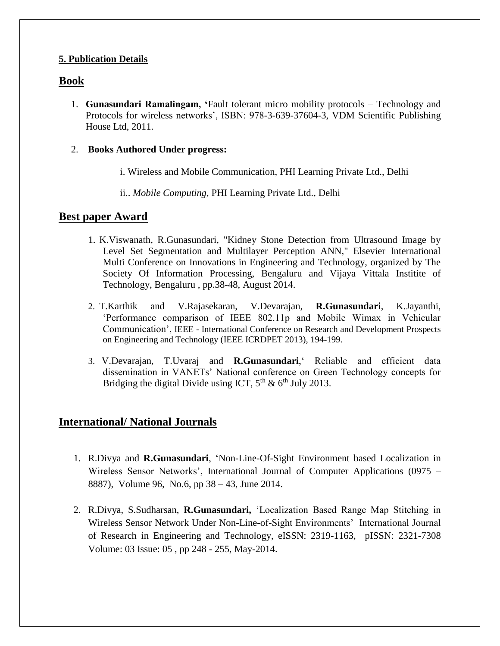## **5. Publication Details**

# **Book**

1. **Gunasundari Ramalingam, '**Fault tolerant micro mobility protocols – Technology and Protocols for wireless networks', ISBN: 978-3-639-37604-3, VDM Scientific Publishing House Ltd, 2011.

### 2. **Books Authored Under progress:**

i. Wireless and Mobile Communication, PHI Learning Private Ltd., Delhi

ii.. *Mobile Computing,* PHI Learning Private Ltd., Delhi

## **Best paper Award**

- 1. K.Viswanath, R.Gunasundari, "Kidney Stone Detection from Ultrasound Image by Level Set Segmentation and Multilayer Perception ANN," Elsevier International Multi Conference on Innovations in Engineering and Technology, organized by The Society Of Information Processing, Bengaluru and Vijaya Vittala Institite of Technology, Bengaluru , pp.38-48, August 2014.
- 2. T.Karthik and V.Rajasekaran, V.Devarajan, **R.Gunasundari**, K.Jayanthi, 'Performance comparison of IEEE 802.11p and Mobile Wimax in Vehicular Communication', IEEE - International Conference on Research and Development Prospects on Engineering and Technology (IEEE ICRDPET 2013), 194-199.
- 3. V.Devarajan, T.Uvaraj and **R.Gunasundari**,' Reliable and efficient data dissemination in VANETs' National conference on Green Technology concepts for Bridging the digital Divide using ICT,  $5^{th}$  &  $6^{th}$  July 2013.

# **International/ National Journals**

- 1. R.Divya and **R.Gunasundari**, 'Non-Line-Of-Sight Environment based Localization in Wireless Sensor Networks', International Journal of Computer Applications (0975 – 8887), Volume 96, No.6, pp 38 – 43, June 2014.
- 2. R.Divya, S.Sudharsan, **R.Gunasundari,** 'Localization Based Range Map Stitching in Wireless Sensor Network Under Non-Line-of-Sight Environments' International Journal of Research in Engineering and Technology, eISSN: 2319-1163, pISSN: 2321-7308 Volume: 03 Issue: 05 , pp 248 - 255, May-2014.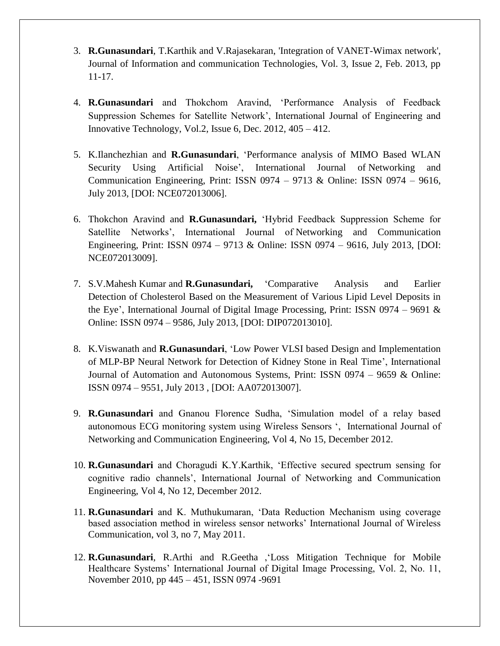- 3. **R.Gunasundari**, T.Karthik and V.Rajasekaran, 'Integration of VANET-Wimax network', Journal of Information and communication Technologies, Vol. 3, Issue 2, Feb. 2013, pp 11-17.
- 4. **R.Gunasundari** and Thokchom Aravind, 'Performance Analysis of Feedback Suppression Schemes for Satellite Network', International Journal of Engineering and Innovative Technology, Vol.2, Issue 6, Dec. 2012, 405 – 412.
- 5. K.Ilanchezhian and **R.Gunasundari**, 'Performance analysis of MIMO Based WLAN Security Using Artificial Noise', International Journal of Networking and Communication Engineering, Print: ISSN 0974 – 9713 & Online: ISSN 0974 – 9616, July 2013, [DOI: NCE072013006].
- 6. Thokchon Aravind and **R.Gunasundari,** 'Hybrid Feedback Suppression Scheme for Satellite Networks', International Journal of Networking and Communication Engineering, Print: ISSN 0974 – 9713 & Online: ISSN 0974 – 9616, July 2013, [DOI: NCE072013009].
- 7. S.V.Mahesh Kumar and **R.Gunasundari,** 'Comparative Analysis and Earlier Detection of Cholesterol Based on the Measurement of Various Lipid Level Deposits in the Eye', International Journal of Digital Image Processing, Print: ISSN 0974 – 9691  $\&$ Online: ISSN 0974 – 9586, July 2013, [DOI: DIP072013010].
- 8. K.Viswanath and **R.Gunasundari**, 'Low Power VLSI based Design and Implementation of MLP-BP Neural Network for Detection of Kidney Stone in Real Time', International Journal of Automation and Autonomous Systems, Print: ISSN 0974 – 9659 & Online: ISSN 0974 – 9551, July 2013 , [DOI: AA072013007].
- 9. **R.Gunasundari** and Gnanou Florence Sudha, 'Simulation model of a relay based autonomous ECG monitoring system using Wireless Sensors ', International Journal of Networking and Communication Engineering, Vol 4, No 15, December 2012.
- 10. **R.Gunasundari** and Choragudi K.Y.Karthik, 'Effective secured spectrum sensing for cognitive radio channels', International Journal of Networking and Communication Engineering, Vol 4, No 12, December 2012.
- 11. **R.Gunasundari** and K. Muthukumaran, 'Data Reduction Mechanism using coverage based association method in wireless sensor networks' International Journal of Wireless Communication, vol 3, no 7, May 2011.
- 12. **R.Gunasundari**, R.Arthi and R.Geetha ,'Loss Mitigation Technique for Mobile Healthcare Systems' International Journal of Digital Image Processing, Vol. 2, No. 11, November 2010, pp 445 – 451, ISSN 0974 -9691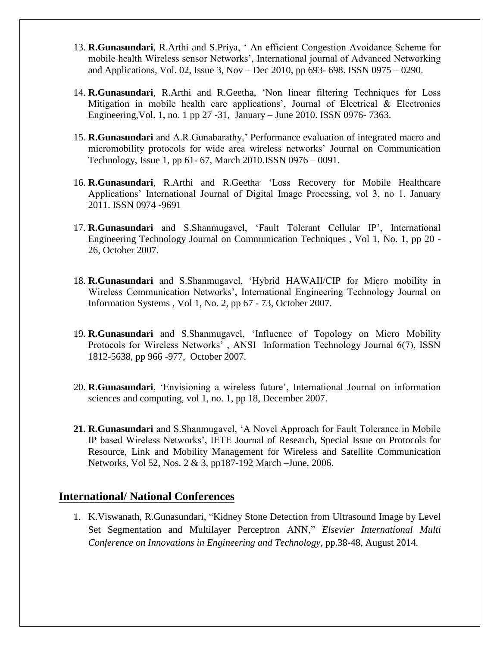- 13. **R.Gunasundari**, R.Arthi and S.Priya, ' An efficient Congestion Avoidance Scheme for mobile health Wireless sensor Networks', International journal of Advanced Networking and Applications, Vol. 02, Issue 3, Nov – Dec 2010, pp 693- 698. ISSN 0975 – 0290.
- 14. **R.Gunasundari**, R.Arthi and R.Geetha, 'Non linear filtering Techniques for Loss Mitigation in mobile health care applications', Journal of Electrical  $\&$  Electronics Engineering,Vol. 1, no. 1 pp 27 -31, January – June 2010. ISSN 0976- 7363.
- 15. **R.Gunasundari** and A.R.Gunabarathy,' Performance evaluation of integrated macro and micromobility protocols for wide area wireless networks' Journal on Communication Technology, Issue 1, pp 61- 67, March 2010.ISSN 0976 – 0091.
- 16. **R.Gunasundari**, R.Arthi and R.Geetha, 'Loss Recovery for Mobile Healthcare Applications' International Journal of Digital Image Processing, vol 3, no 1, January 2011. ISSN 0974 -9691
- 17. **R.Gunasundari** and S.Shanmugavel, 'Fault Tolerant Cellular IP', International Engineering Technology Journal on Communication Techniques , Vol 1, No. 1, pp 20 - 26, October 2007.
- 18. **R.Gunasundari** and S.Shanmugavel, 'Hybrid HAWAII/CIP for Micro mobility in Wireless Communication Networks', International Engineering Technology Journal on Information Systems , Vol 1, No. 2, pp 67 - 73, October 2007.
- 19. **R.Gunasundari** and S.Shanmugavel, 'Influence of Topology on Micro Mobility Protocols for Wireless Networks' , ANSI Information Technology Journal 6(7), ISSN 1812-5638, pp 966 -977, October 2007.
- 20. **R.Gunasundari**, 'Envisioning a wireless future', International Journal on information sciences and computing, vol 1, no. 1, pp 18, December 2007.
- **21. R.Gunasundari** and S.Shanmugavel, 'A Novel Approach for Fault Tolerance in Mobile IP based Wireless Networks', IETE Journal of Research, Special Issue on Protocols for Resource, Link and Mobility Management for Wireless and Satellite Communication Networks, Vol 52, Nos. 2 & 3, pp187-192 March –June, 2006.

# **International/ National Conferences**

1. K.Viswanath, R.Gunasundari, "Kidney Stone Detection from Ultrasound Image by Level Set Segmentation and Multilayer Perceptron ANN," *Elsevier International Multi Conference on Innovations in Engineering and Technology,* pp.38-48, August 2014.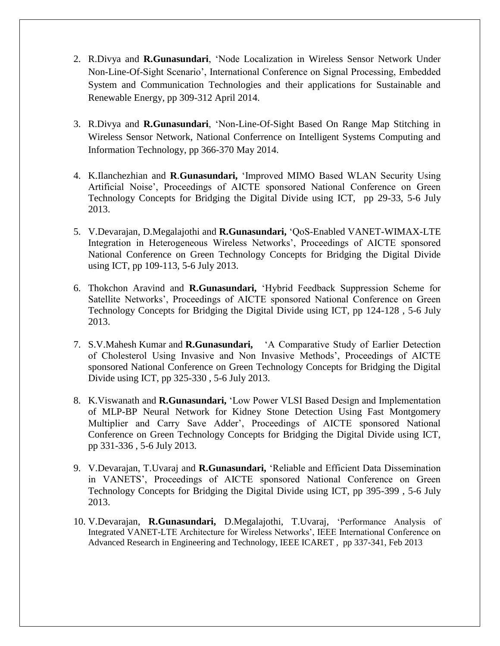- 2. R.Divya and **R.Gunasundari**, 'Node Localization in Wireless Sensor Network Under Non-Line-Of-Sight Scenario', International Conference on Signal Processing, Embedded System and Communication Technologies and their applications for Sustainable and Renewable Energy, pp 309-312 April 2014.
- 3. R.Divya and **R.Gunasundari**, 'Non-Line-Of-Sight Based On Range Map Stitching in Wireless Sensor Network, National Conferrence on Intelligent Systems Computing and Information Technology, pp 366-370 May 2014.
- 4. K.Ilanchezhian and **R**.**Gunasundari,** 'Improved MIMO Based WLAN Security Using Artificial Noise', Proceedings of AICTE sponsored National Conference on Green Technology Concepts for Bridging the Digital Divide using ICT, pp 29-33, 5-6 July 2013.
- 5. V.Devarajan, D.Megalajothi and **R.Gunasundari,** 'QoS-Enabled VANET-WIMAX-LTE Integration in Heterogeneous Wireless Networks', Proceedings of AICTE sponsored National Conference on Green Technology Concepts for Bridging the Digital Divide using ICT, pp 109-113, 5-6 July 2013.
- 6. Thokchon Aravind and **R.Gunasundari,** 'Hybrid Feedback Suppression Scheme for Satellite Networks', Proceedings of AICTE sponsored National Conference on Green Technology Concepts for Bridging the Digital Divide using ICT, pp 124-128 , 5-6 July 2013.
- 7. S.V.Mahesh Kumar and **R.Gunasundari,** 'A Comparative Study of Earlier Detection of Cholesterol Using Invasive and Non Invasive Methods', Proceedings of AICTE sponsored National Conference on Green Technology Concepts for Bridging the Digital Divide using ICT, pp 325-330 , 5-6 July 2013.
- 8. K.Viswanath and **R.Gunasundari,** 'Low Power VLSI Based Design and Implementation of MLP-BP Neural Network for Kidney Stone Detection Using Fast Montgomery Multiplier and Carry Save Adder', Proceedings of AICTE sponsored National Conference on Green Technology Concepts for Bridging the Digital Divide using ICT, pp 331-336 , 5-6 July 2013.
- 9. V.Devarajan, T.Uvaraj and **R.Gunasundari,** 'Reliable and Efficient Data Dissemination in VANETS', Proceedings of AICTE sponsored National Conference on Green Technology Concepts for Bridging the Digital Divide using ICT, pp 395-399 , 5-6 July 2013.
- 10. V.Devarajan, **R.Gunasundari,** D.Megalajothi, T.Uvaraj, 'Performance Analysis of Integrated VANET-LTE Architecture for Wireless Networks', IEEE International Conference on Advanced Research in Engineering and Technology, IEEE ICARET , pp 337-341, Feb 2013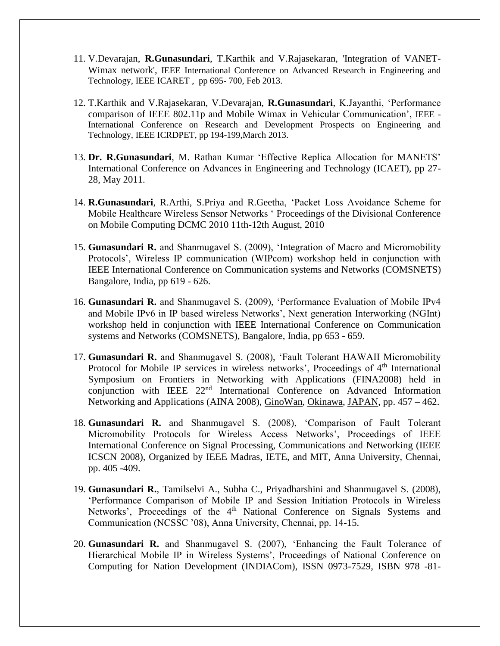- 11. V.Devarajan, **R.Gunasundari**, T.Karthik and V.Rajasekaran, 'Integration of VANET-Wimax network', IEEE International Conference on Advanced Research in Engineering and Technology, IEEE ICARET , pp 695- 700, Feb 2013.
- 12. T.Karthik and V.Rajasekaran, V.Devarajan, **R.Gunasundari**, K.Jayanthi, 'Performance comparison of IEEE 802.11p and Mobile Wimax in Vehicular Communication', IEEE - International Conference on Research and Development Prospects on Engineering and Technology, IEEE ICRDPET, pp 194-199,March 2013.
- 13. **Dr. R.Gunasundari**, M. Rathan Kumar 'Effective Replica Allocation for MANETS' International Conference on Advances in Engineering and Technology (ICAET), pp 27- 28, May 2011.
- 14. **R.Gunasundari**, R.Arthi, S.Priya and R.Geetha, 'Packet Loss Avoidance Scheme for Mobile Healthcare Wireless Sensor Networks ' Proceedings of the Divisional Conference on Mobile Computing DCMC 2010 11th-12th August, 2010
- 15. **Gunasundari R.** and Shanmugavel S. (2009), 'Integration of Macro and Micromobility Protocols', Wireless IP communication (WIPcom) workshop held in conjunction with IEEE International Conference on Communication systems and Networks (COMSNETS) Bangalore, India, pp 619 - 626.
- 16. **Gunasundari R.** and Shanmugavel S. (2009), 'Performance Evaluation of Mobile IPv4 and Mobile IPv6 in IP based wireless Networks', Next generation Interworking (NGInt) workshop held in conjunction with IEEE International Conference on Communication systems and Networks (COMSNETS), Bangalore, India, pp 653 - 659.
- 17. **Gunasundari R.** and Shanmugavel S. (2008), 'Fault Tolerant HAWAII Micromobility Protocol for Mobile IP services in wireless networks', Proceedings of 4<sup>th</sup> International Symposium on Frontiers in Networking with Applications (FINA2008) held in conjunction with IEEE 22<sup>nd</sup> International Conference on Advanced Information Networking and Applications (AINA 2008), [GinoWan,](http://www.tuwien.ac.at/english/) [Okinawa,](http://www.ocvb.or.jp/index.php?current=General_Page&action=Top_Page&mode=isel&lang=en) [JAPAN,](http://www.austria-tourism.biz/) pp. 457 – 462.
- 18. **Gunasundari R.** and Shanmugavel S. (2008), 'Comparison of Fault Tolerant Micromobility Protocols for Wireless Access Networks', Proceedings of IEEE International Conference on Signal Processing, Communications and Networking (IEEE ICSCN 2008), Organized by IEEE Madras, IETE, and MIT, Anna University, Chennai, pp. 405 -409.
- 19. **Gunasundari R.**, Tamilselvi A., Subha C., Priyadharshini and Shanmugavel S. (2008), 'Performance Comparison of Mobile IP and Session Initiation Protocols in Wireless Networks', Proceedings of the 4<sup>th</sup> National Conference on Signals Systems and Communication (NCSSC '08), Anna University, Chennai, pp. 14-15.
- 20. **Gunasundari R.** and Shanmugavel S. (2007), 'Enhancing the Fault Tolerance of Hierarchical Mobile IP in Wireless Systems', Proceedings of National Conference on Computing for Nation Development (INDIACom), ISSN 0973-7529, ISBN 978 -81-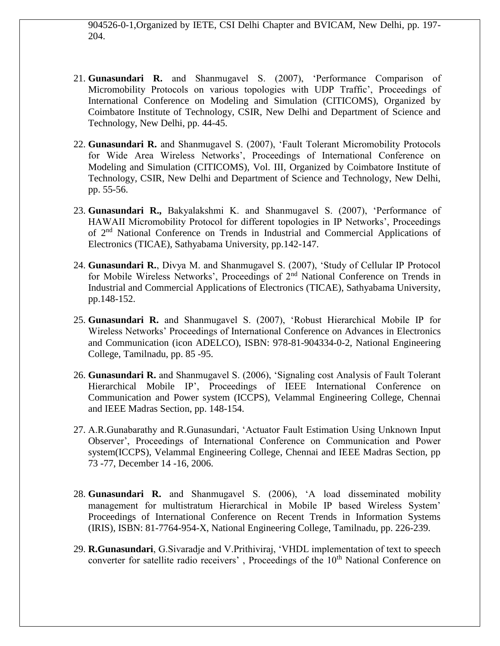904526-0-1,Organized by IETE, CSI Delhi Chapter and BVICAM, New Delhi, pp. 197- 204.

- 21. **Gunasundari R.** and Shanmugavel S. (2007), 'Performance Comparison of Micromobility Protocols on various topologies with UDP Traffic', Proceedings of International Conference on Modeling and Simulation (CITICOMS), Organized by Coimbatore Institute of Technology, CSIR, New Delhi and Department of Science and Technology, New Delhi, pp. 44-45.
- 22. **Gunasundari R.** and Shanmugavel S. (2007), 'Fault Tolerant Micromobility Protocols for Wide Area Wireless Networks', Proceedings of International Conference on Modeling and Simulation (CITICOMS), Vol. III, Organized by Coimbatore Institute of Technology, CSIR, New Delhi and Department of Science and Technology, New Delhi, pp. 55-56.
- 23. **Gunasundari R.,** Bakyalakshmi K. and Shanmugavel S. (2007), 'Performance of HAWAII Micromobility Protocol for different topologies in IP Networks', Proceedings of 2<sup>nd</sup> National Conference on Trends in Industrial and Commercial Applications of Electronics (TICAE), Sathyabama University, pp.142-147.
- 24. **Gunasundari R.**, Divya M. and Shanmugavel S. (2007), 'Study of Cellular IP Protocol for Mobile Wireless Networks', Proceedings of 2<sup>nd</sup> National Conference on Trends in Industrial and Commercial Applications of Electronics (TICAE), Sathyabama University, pp.148-152.
- 25. **Gunasundari R.** and Shanmugavel S. (2007), 'Robust Hierarchical Mobile IP for Wireless Networks' Proceedings of International Conference on Advances in Electronics and Communication (icon ADELCO), ISBN: 978-81-904334-0-2, National Engineering College, Tamilnadu, pp. 85 -95.
- 26. **Gunasundari R.** and Shanmugavel S. (2006), 'Signaling cost Analysis of Fault Tolerant Hierarchical Mobile IP', Proceedings of IEEE International Conference on Communication and Power system (ICCPS), Velammal Engineering College, Chennai and IEEE Madras Section, pp. 148-154.
- 27. A.R.Gunabarathy and R.Gunasundari, 'Actuator Fault Estimation Using Unknown Input Observer', Proceedings of International Conference on Communication and Power system(ICCPS), Velammal Engineering College, Chennai and IEEE Madras Section, pp 73 -77, December 14 -16, 2006.
- 28. **Gunasundari R.** and Shanmugavel S. (2006), 'A load disseminated mobility management for multistratum Hierarchical in Mobile IP based Wireless System' Proceedings of International Conference on Recent Trends in Information Systems (IRIS), ISBN: 81-7764-954-X, National Engineering College, Tamilnadu, pp. 226-239.
- 29. **R.Gunasundari**, G.Sivaradje and V.Prithiviraj, 'VHDL implementation of text to speech converter for satellite radio receivers', Proceedings of the 10<sup>th</sup> National Conference on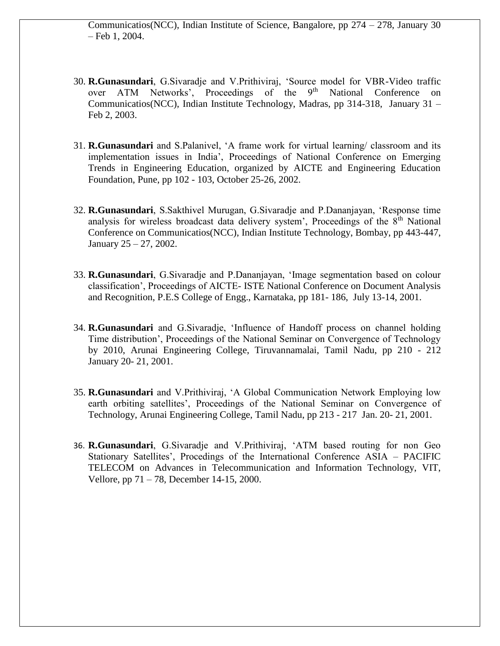Communicatios(NCC), Indian Institute of Science, Bangalore, pp 274 – 278, January 30 – Feb 1, 2004.

- 30. **R.Gunasundari**, G.Sivaradje and V.Prithiviraj, 'Source model for VBR-Video traffic over ATM Networks', Proceedings of the 9<sup>th</sup> National Conference on Communicatios(NCC), Indian Institute Technology, Madras, pp 314-318, January 31 – Feb 2, 2003.
- 31. **R.Gunasundari** and S.Palanivel, 'A frame work for virtual learning/ classroom and its implementation issues in India', Proceedings of National Conference on Emerging Trends in Engineering Education, organized by AICTE and Engineering Education Foundation, Pune, pp 102 - 103, October 25-26, 2002.
- 32. **R.Gunasundari**, S.Sakthivel Murugan, G.Sivaradje and P.Dananjayan, 'Response time analysis for wireless broadcast data delivery system', Proceedings of the  $8<sup>th</sup>$  National Conference on Communicatios(NCC), Indian Institute Technology, Bombay, pp 443-447, January 25 – 27, 2002.
- 33. **R.Gunasundari**, G.Sivaradje and P.Dananjayan, 'Image segmentation based on colour classification', Proceedings of AICTE- ISTE National Conference on Document Analysis and Recognition, P.E.S College of Engg., Karnataka, pp 181- 186, July 13-14, 2001.
- 34. **R.Gunasundari** and G.Sivaradje, 'Influence of Handoff process on channel holding Time distribution', Proceedings of the National Seminar on Convergence of Technology by 2010, Arunai Engineering College, Tiruvannamalai, Tamil Nadu, pp 210 - 212 January 20- 21, 2001.
- 35. **R.Gunasundari** and V.Prithiviraj, 'A Global Communication Network Employing low earth orbiting satellites', Proceedings of the National Seminar on Convergence of Technology, Arunai Engineering College, Tamil Nadu, pp 213 - 217 Jan. 20- 21, 2001.
- 36. **R.Gunasundari**, G.Sivaradje and V.Prithiviraj, 'ATM based routing for non Geo Stationary Satellites', Procedings of the International Conference ASIA – PACIFIC TELECOM on Advances in Telecommunication and Information Technology, VIT, Vellore, pp 71 – 78, December 14-15, 2000.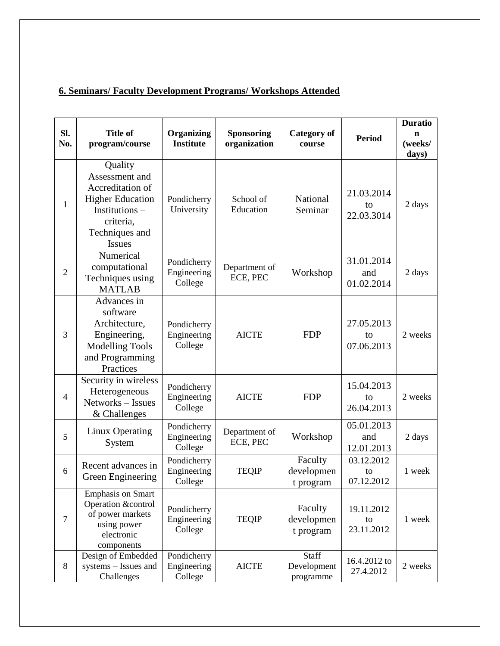# **6. Seminars/ Faculty Development Programs/ Workshops Attended**

| Sl.<br>No.     | <b>Title of</b><br>program/course                                                                                                         | Organizing<br><b>Institute</b>        | Sponsoring<br>organization | <b>Category of</b><br>course             | <b>Period</b>                   | <b>Duratio</b><br>n<br>(weeks/<br>days) |
|----------------|-------------------------------------------------------------------------------------------------------------------------------------------|---------------------------------------|----------------------------|------------------------------------------|---------------------------------|-----------------------------------------|
| $\mathbf{1}$   | Quality<br>Assessment and<br>Accreditation of<br><b>Higher Education</b><br>Institutions-<br>criteria,<br>Techniques and<br><b>Issues</b> | Pondicherry<br>University             | School of<br>Education     | National<br>Seminar                      | 21.03.2014<br>to<br>22.03.3014  | 2 days                                  |
| $\overline{2}$ | Numerical<br>computational<br>Techniques using<br><b>MATLAB</b>                                                                           | Pondicherry<br>Engineering<br>College | Department of<br>ECE, PEC  | Workshop                                 | 31.01.2014<br>and<br>01.02.2014 | 2 days                                  |
| 3              | Advances in<br>software<br>Architecture,<br>Engineering,<br><b>Modelling Tools</b><br>and Programming<br>Practices                        | Pondicherry<br>Engineering<br>College | <b>AICTE</b>               | <b>FDP</b>                               | 27.05.2013<br>to<br>07.06.2013  | 2 weeks                                 |
| $\overline{4}$ | Security in wireless<br>Heterogeneous<br>Networks-Issues<br>& Challenges                                                                  | Pondicherry<br>Engineering<br>College | <b>AICTE</b>               | <b>FDP</b>                               | 15.04.2013<br>to<br>26.04.2013  | 2 weeks                                 |
| 5              | Linux Operating<br>System                                                                                                                 | Pondicherry<br>Engineering<br>College | Department of<br>ECE, PEC  | Workshop                                 | 05.01.2013<br>and<br>12.01.2013 | 2 days                                  |
| 6              | Recent advances in<br>Green Engineering                                                                                                   | Pondicherry<br>Engineering<br>College | <b>TEQIP</b>               | Faculty<br>developmen<br>t program       | 03.12.2012<br>to<br>07.12.2012  | 1 week                                  |
| $\tau$         | <b>Emphasis on Smart</b><br>Operation &control<br>of power markets<br>using power<br>electronic<br>components                             | Pondicherry<br>Engineering<br>College | <b>TEQIP</b>               | Faculty<br>developmen<br>t program       | 19.11.2012<br>to<br>23.11.2012  | 1 week                                  |
| 8              | Design of Embedded<br>systems - Issues and<br>Challenges                                                                                  | Pondicherry<br>Engineering<br>College | <b>AICTE</b>               | <b>Staff</b><br>Development<br>programme | 16.4.2012 to<br>27.4.2012       | 2 weeks                                 |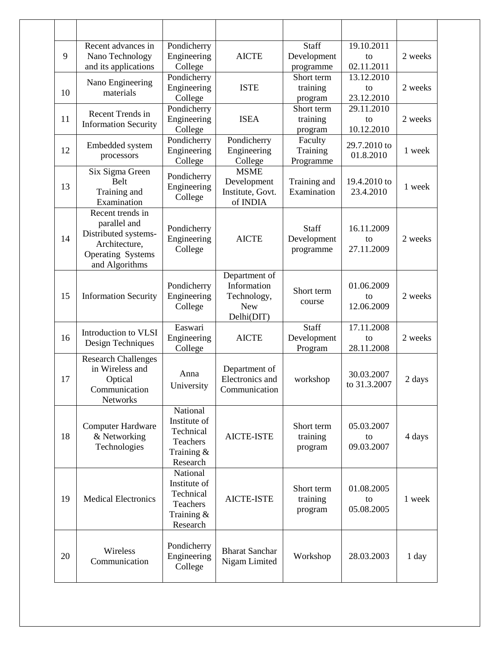| 9  | Recent advances in<br>Nano Technology<br>and its applications                                                           | Pondicherry<br>Engineering<br>College                                       | <b>AICTE</b>                                                            | Staff<br>Development<br>programme      | 19.10.2011<br>to<br>02.11.2011 | 2 weeks |
|----|-------------------------------------------------------------------------------------------------------------------------|-----------------------------------------------------------------------------|-------------------------------------------------------------------------|----------------------------------------|--------------------------------|---------|
| 10 | Nano Engineering<br>materials                                                                                           | Pondicherry<br>Engineering<br>College                                       | <b>ISTE</b>                                                             | Short term<br>training<br>program      | 13.12.2010<br>to<br>23.12.2010 | 2 weeks |
| 11 | Recent Trends in<br><b>Information Security</b>                                                                         | Pondicherry<br>Engineering<br>College                                       | <b>ISEA</b>                                                             | Short term<br>training<br>program      | 29.11.2010<br>to<br>10.12.2010 | 2 weeks |
| 12 | Embedded system<br>processors                                                                                           | Pondicherry<br>Engineering<br>College                                       | Pondicherry<br>Engineering<br>College                                   | Faculty<br>Training<br>Programme       | 29.7.2010 to<br>01.8.2010      | 1 week  |
| 13 | Six Sigma Green<br><b>Belt</b><br>Training and<br>Examination                                                           | Pondicherry<br>Engineering<br>College                                       | <b>MSME</b><br>Development<br>Institute, Govt.<br>of INDIA              | Training and<br>Examination            | 19.4.2010 to<br>23.4.2010      | 1 week  |
| 14 | Recent trends in<br>parallel and<br>Distributed systems-<br>Architecture,<br><b>Operating Systems</b><br>and Algorithms | Pondicherry<br>Engineering<br>College                                       | <b>AICTE</b>                                                            | Staff<br>Development<br>programme      | 16.11.2009<br>to<br>27.11.2009 | 2 weeks |
| 15 | <b>Information Security</b>                                                                                             | Pondicherry<br>Engineering<br>College                                       | Department of<br>Information<br>Technology,<br><b>New</b><br>Delhi(DIT) | Short term<br>course                   | 01.06.2009<br>to<br>12.06.2009 | 2 weeks |
| 16 | Introduction to VLSI<br>Design Techniques                                                                               | Easwari<br>Engineering<br>College                                           | <b>AICTE</b>                                                            | <b>Staff</b><br>Development<br>Program | 17.11.2008<br>to<br>28.11.2008 | 2 weeks |
| 17 | <b>Research Challenges</b><br>in Wireless and<br>Optical<br>Communication<br><b>Networks</b>                            | Anna<br>University                                                          | Department of<br>Electronics and<br>Communication                       | workshop                               | 30.03.2007<br>to 31.3.2007     | 2 days  |
| 18 | <b>Computer Hardware</b><br>& Networking<br>Technologies                                                                | National<br>Institute of<br>Technical<br>Teachers<br>Training &<br>Research | <b>AICTE-ISTE</b>                                                       | Short term<br>training<br>program      | 05.03.2007<br>to<br>09.03.2007 | 4 days  |
| 19 | <b>Medical Electronics</b>                                                                                              | National<br>Institute of<br>Technical<br>Teachers<br>Training &<br>Research | <b>AICTE-ISTE</b>                                                       | Short term<br>training<br>program      | 01.08.2005<br>to<br>05.08.2005 | 1 week  |
| 20 | Wireless<br>Communication                                                                                               | Pondicherry<br>Engineering<br>College                                       | <b>Bharat Sanchar</b><br>Nigam Limited                                  | Workshop                               | 28.03.2003                     | 1 day   |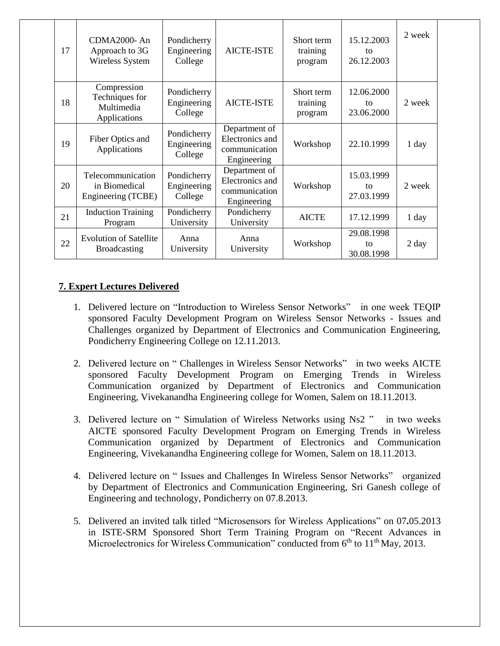| 17 | $CDMA2000-An$<br>Approach to 3G<br>Wireless System          | Pondicherry<br>Engineering<br>College                                                                     | <b>AICTE-ISTE</b>                                                | Short term<br>training<br>program | 15.12.2003<br>to<br>26.12.2003 | 2 week |
|----|-------------------------------------------------------------|-----------------------------------------------------------------------------------------------------------|------------------------------------------------------------------|-----------------------------------|--------------------------------|--------|
| 18 | Compression<br>Techniques for<br>Multimedia<br>Applications | Pondicherry<br>Engineering<br>College                                                                     | <b>AICTE-ISTE</b>                                                | Short term<br>training<br>program | 12.06.2000<br>to<br>23.06.2000 | 2 week |
| 19 | Fiber Optics and<br>Applications                            | Pondicherry<br>Engineering<br>College                                                                     | Department of<br>Electronics and<br>communication<br>Engineering | Workshop                          | 22.10.1999                     | 1 day  |
| 20 | Telecommunication<br>in Biomedical<br>Engineering (TCBE)    | Department of<br>Pondicherry<br>Electronics and<br>Engineering<br>communication<br>College<br>Engineering |                                                                  | Workshop                          | 15.03.1999<br>tΩ<br>27.03.1999 | 2 week |
| 21 | <b>Induction Training</b><br>Program                        | Pondicherry<br>University                                                                                 | Pondicherry<br>University                                        | <b>AICTE</b>                      | 17.12.1999                     | 1 day  |
| 22 | <b>Evolution of Satellite</b><br><b>Broadcasting</b>        | Anna<br>University                                                                                        | Anna<br>University                                               | Workshop                          | 29.08.1998<br>to<br>30.08.1998 | 2 day  |

## **7. Expert Lectures Delivered**

- 1. Delivered lecture on "Introduction to Wireless Sensor Networks" in one week TEQIP sponsored Faculty Development Program on Wireless Sensor Networks - Issues and Challenges organized by Department of Electronics and Communication Engineering, Pondicherry Engineering College on 12.11.2013.
- 2. Delivered lecture on " Challenges in Wireless Sensor Networks" in two weeks AICTE sponsored Faculty Development Program on Emerging Trends in Wireless Communication organized by Department of Electronics and Communication Engineering, Vivekanandha Engineering college for Women, Salem on 18.11.2013.
- 3. Delivered lecture on " Simulation of Wireless Networks using Ns2 " in two weeks AICTE sponsored Faculty Development Program on Emerging Trends in Wireless Communication organized by Department of Electronics and Communication Engineering, Vivekanandha Engineering college for Women, Salem on 18.11.2013.
- 4. Delivered lecture on " Issues and Challenges In Wireless Sensor Networks" organized by Department of Electronics and Communication Engineering, Sri Ganesh college of Engineering and technology, Pondicherry on 07.8.2013.
- 5. Delivered an invited talk titled "Microsensors for Wireless Applications" on 07**.**05.2013 in ISTE-SRM Sponsored Short Term Training Program on "Recent Advances in Microelectronics for Wireless Communication" conducted from  $6<sup>th</sup>$  to  $11<sup>th</sup>$  May, 2013.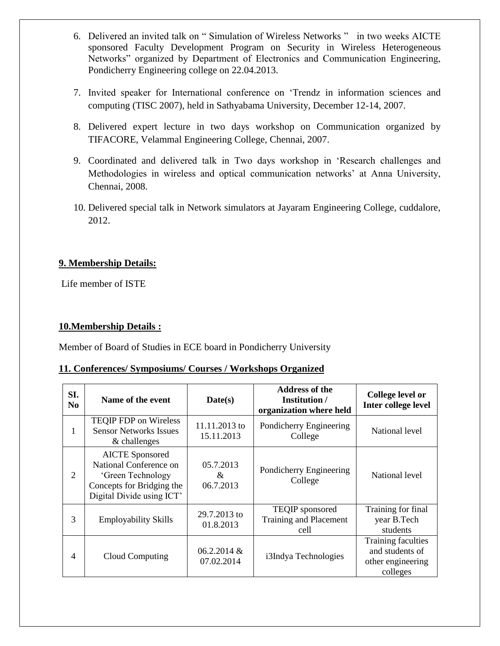- 6. Delivered an invited talk on " Simulation of Wireless Networks " in two weeks AICTE sponsored Faculty Development Program on Security in Wireless Heterogeneous Networks" organized by Department of Electronics and Communication Engineering, Pondicherry Engineering college on 22.04.2013.
- 7. Invited speaker for International conference on 'Trendz in information sciences and computing (TISC 2007), held in Sathyabama University, December 12-14, 2007.
- 8. Delivered expert lecture in two days workshop on Communication organized by TIFACORE, Velammal Engineering College, Chennai, 2007.
- 9. Coordinated and delivered talk in Two days workshop in 'Research challenges and Methodologies in wireless and optical communication networks' at Anna University, Chennai, 2008.
- 10. Delivered special talk in Network simulators at Jayaram Engineering College, cuddalore, 2012.

## **9. Membership Details:**

Life member of ISTE

## **10.Membership Details :**

Member of Board of Studies in ECE board in Pondicherry University

### **11. Conferences/ Symposiums/ Courses / Workshops Organized**

| SI.<br>N <sub>0</sub>                                                                | Name of the event                                                                                                               | Date(s)                      | <b>Address of the</b><br>Institution /<br>organization where held | College level or<br>Inter college level                                |
|--------------------------------------------------------------------------------------|---------------------------------------------------------------------------------------------------------------------------------|------------------------------|-------------------------------------------------------------------|------------------------------------------------------------------------|
| <b>TEQIP FDP</b> on Wireless<br><b>Sensor Networks Issues</b><br>1<br>$&$ challenges |                                                                                                                                 | 11.11.2013 to<br>15.11.2013  | Pondicherry Engineering<br>College                                | National level                                                         |
| $\overline{2}$                                                                       | <b>AICTE</b> Sponsored<br>National Conference on<br>'Green Technology<br>Concepts for Bridging the<br>Digital Divide using ICT' | 05.7.2013<br>&<br>06.7.2013  | Pondicherry Engineering<br>College                                | National level                                                         |
| 3                                                                                    | <b>Employability Skills</b>                                                                                                     | 29.7.2013 to<br>01.8.2013    | TEQIP sponsored<br>Training and Placement<br>cell                 | Training for final<br>year B.Tech<br>students                          |
| 4                                                                                    | Cloud Computing                                                                                                                 | $06.2.2014 \&$<br>07.02.2014 | i3Indya Technologies                                              | Training faculties<br>and students of<br>other engineering<br>colleges |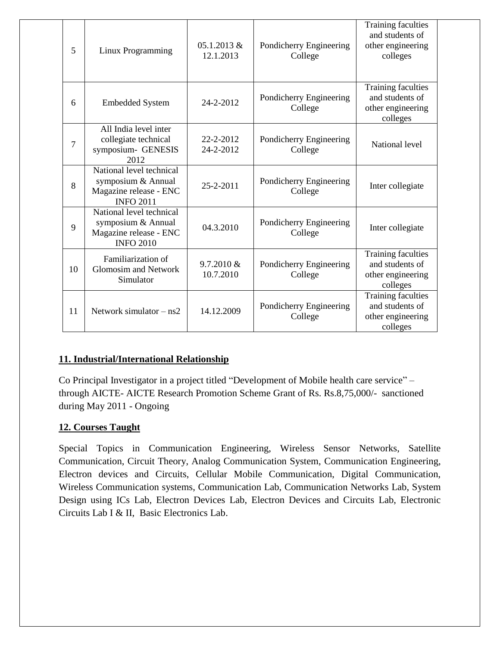| 5              | Linux Programming                                                                            | 05.1.2013 &<br>12.1.2013 | Pondicherry Engineering<br>College | <b>Training faculties</b><br>and students of<br>other engineering<br>colleges |
|----------------|----------------------------------------------------------------------------------------------|--------------------------|------------------------------------|-------------------------------------------------------------------------------|
| 6              | <b>Embedded System</b>                                                                       | 24-2-2012                | Pondicherry Engineering<br>College | Training faculties<br>and students of<br>other engineering<br>colleges        |
| $\overline{7}$ | All India level inter<br>collegiate technical<br>symposium- GENESIS<br>2012                  | 22-2-2012<br>24-2-2012   | Pondicherry Engineering<br>College | National level                                                                |
| 8              | National level technical<br>symposium & Annual<br>Magazine release - ENC<br><b>INFO 2011</b> | 25-2-2011                | Pondicherry Engineering<br>College | Inter collegiate                                                              |
| 9              | National level technical<br>symposium & Annual<br>Magazine release - ENC<br><b>INFO 2010</b> | 04.3.2010                | Pondicherry Engineering<br>College | Inter collegiate                                                              |
| 10             | Familiarization of<br><b>Glomosim and Network</b><br>Simulator                               | 9.7.2010 &<br>10.7.2010  | Pondicherry Engineering<br>College | Training faculties<br>and students of<br>other engineering<br>colleges        |
| 11             | Network simulator $- ns2$                                                                    | 14.12.2009               | Pondicherry Engineering<br>College | <b>Training faculties</b><br>and students of<br>other engineering<br>colleges |

# **11. Industrial/International Relationship**

Co Principal Investigator in a project titled "Development of Mobile health care service" – through AICTE- AICTE Research Promotion Scheme Grant of Rs. Rs.8,75,000/- sanctioned during May 2011 - Ongoing

## **12. Courses Taught**

Special Topics in Communication Engineering, Wireless Sensor Networks, Satellite Communication, Circuit Theory, Analog Communication System, Communication Engineering, Electron devices and Circuits, Cellular Mobile Communication, Digital Communication, Wireless Communication systems, Communication Lab, Communication Networks Lab, System Design using ICs Lab, Electron Devices Lab, Electron Devices and Circuits Lab, Electronic Circuits Lab I & II, Basic Electronics Lab.